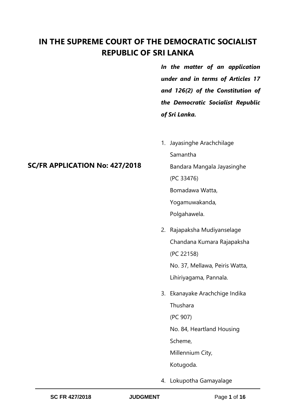## **IN THE SUPREME COURT OF THE DEMOCRATIC SOCIALIST REPUBLIC OF SRI LANKA**

*In the matter of an application under and in terms of Articles 17 and 126(2) of the Constitution of the Democratic Socialist Republic of Sri Lanka.* 

- 1. Jayasinghe Arachchilage Samantha Bandara Mangala Jayasinghe (PC 33476) Bomadawa Watta, Yogamuwakanda, Polgahawela.
- 2. Rajapaksha Mudiyanselage Chandana Kumara Rajapaksha (PC 22158) No. 37, Mellawa, Peiris Watta, Lihiriyagama, Pannala.
- 3. Ekanayake Arachchige Indika Thushara (PC 907) No. 84, Heartland Housing Scheme,

Millennium City,

Kotugoda.

4. Lokupotha Gamayalage

## **SC/FR APPLICATION No: 427/2018**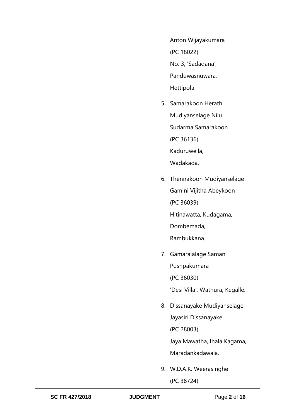Anton Wijayakumara (PC 18022) No. 3, 'Sadadana', Panduwasnuwara, Hettipola.

- 5. Samarakoon Herath Mudiyanselage Nilu Sudarma Samarakoon (PC 36136) Kaduruwella, Wadakada.
- 6. Thennakoon Mudiyanselage Gamini Vijitha Abeykoon (PC 36039) Hitinawatta, Kudagama, Dombemada, Rambukkana.
- 7. Gamaralalage Saman Pushpakumara (PC 36030)

'Desi Villa', Wathura, Kegalle.

8. Dissanayake Mudiyanselage Jayasiri Dissanayake (PC 28003) Jaya Mawatha, Ihala Kagama,

Maradankadawala.

9. W.D.A.K. Weerasinghe (PC 38724)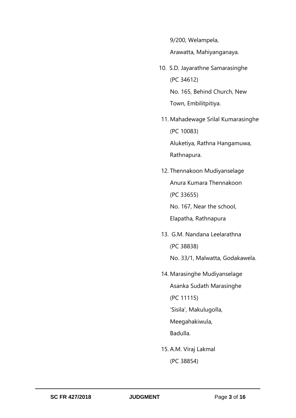9/200, Welampela,

Arawatta, Mahiyanganaya.

- 10. S.D. Jayarathne Samarasinghe (PC 34612) No. 165, Behind Church, New Town, Embilitpitiya.
- 11. Mahadewage Srilal Kumarasinghe (PC 10083) Aluketiya, Rathna Hangamuwa, Rathnapura.
- 12. Thennakoon Mudiyanselage Anura Kumara Thennakoon (PC 33655) No. 167, Near the school, Elapatha, Rathnapura
- 13. G.M. Nandana Leelarathna (PC 38838) No. 33/1, Malwatta, Godakawela.
- 14. Marasinghe Mudiyanselage Asanka Sudath Marasinghe (PC 11115) 'Sisila', Makulugolla, Meegahakiwula, Badulla.
- 15. A.M. Viraj Lakmal (PC 38854)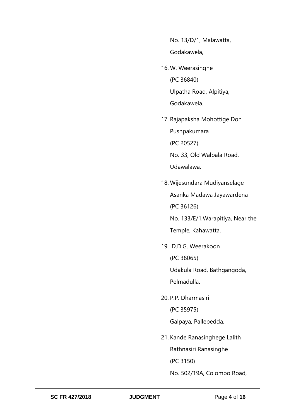No. 13/D/1, Malawatta, Godakawela,

- 16. W. Weerasinghe (PC 36840) Ulpatha Road, Alpitiya, Godakawela.
- 17. Rajapaksha Mohottige Don Pushpakumara (PC 20527) No. 33, Old Walpala Road,

Udawalawa.

- 18. Wijesundara Mudiyanselage Asanka Madawa Jayawardena (PC 36126) No. 133/E/1,Warapitiya, Near the Temple, Kahawatta.
- 19. D.D.G. Weerakoon (PC 38065) Udakula Road, Bathgangoda,

Pelmadulla.

20. P.P. Dharmasiri (PC 35975)

Galpaya, Pallebedda.

21. Kande Ranasinghege Lalith Rathnasiri Ranasinghe

(PC 3150)

No. 502/19A, Colombo Road,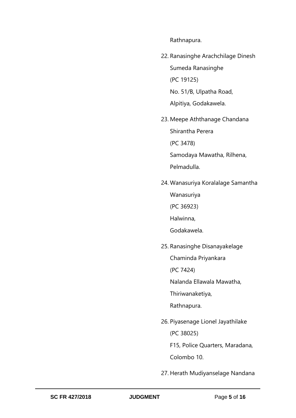Rathnapura.

- 22. Ranasinghe Arachchilage Dinesh Sumeda Ranasinghe (PC 19125) No. 51/B, Ulpatha Road, Alpitiya, Godakawela.
- 23. Meepe Aththanage Chandana Shirantha Perera (PC 3478) Samodaya Mawatha, Rilhena, Pelmadulla.
- 24. Wanasuriya Koralalage Samantha

Wanasuriya

(PC 36923)

Halwinna,

Godakawela.

25. Ranasinghe Disanayakelage

Chaminda Priyankara

(PC 7424)

Nalanda Ellawala Mawatha,

Thiriwanaketiya,

Rathnapura.

26. Piyasenage Lionel Jayathilake (PC 38025) F15, Police Quarters, Maradana,

Colombo 10.

27. Herath Mudiyanselage Nandana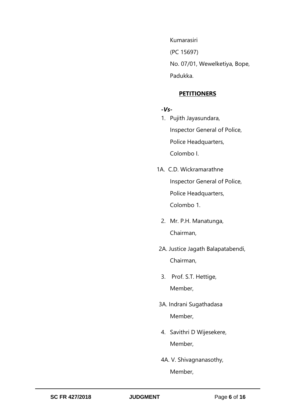Kumarasiri (PC 15697) No. 07/01, Wewelketiya, Bope, Padukka.

#### **PETITIONERS**

#### *-Vs-*

- 1. Pujith Jayasundara, Inspector General of Police, Police Headquarters, Colombo I.
- 1A. C.D. Wickramarathne Inspector General of Police, Police Headquarters, Colombo 1.
	- 2. Mr. P.H. Manatunga, Chairman,
- 2A. Justice Jagath Balapatabendi, Chairman,
- 3. Prof. S.T. Hettige, Member,
- 3A. Indrani Sugathadasa Member,
- 4. Savithri D Wijesekere, Member,
- 4A. V. Shivagnanasothy, Member,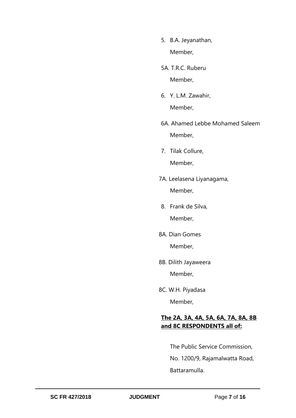- 5. B.A. Jeyanathan, Member,
- 5A. T.R.C. Ruberu Member,
- 6. Y. L.M. Zawahir, Member,
- 6A. Ahamed Lebbe Mohamed Saleem Member,
- 7. Tilak Collure, Member,
- 7A. Leelasena Liyanagama, Member,
- 8. Frank de Silva, Member,
- 8A. Dian Gomes

Member,

8B. Dilith Jayaweera

Member,

8C. W.H. Piyadasa

Member,

## **The 2A, 3A, 4A, 5A, 6A, 7A, 8A, 8B and 8C RESPONDENTS all of:**

The Public Service Commission, No. 1200/9, Rajamalwatta Road, Battaramulla.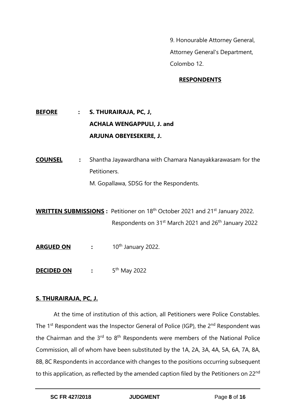9. Honourable Attorney General, Attorney General's Department, Colombo 12.

## **RESPONDENTS**

# **BEFORE : S. THURAIRAJA, PC, J, ACHALA WENGAPPULI, J. and ARJUNA OBEYESEKERE, J.**

**COUNSEL :** Shantha Jayawardhana with Chamara Nanayakkarawasam for the Petitioners.

M. Gopallawa, SDSG for the Respondents.

**WRITTEN SUBMISSIONS :** Petitioner on 18<sup>th</sup> October 2021 and 21<sup>st</sup> January 2022. Respondents on 31<sup>st</sup> March 2021 and 26<sup>th</sup> January 2022

- **ARGUED ON :** 10th January 2022.
- **DECIDED ON** : 5<sup>th</sup> May 2022

## **S. THURAIRAJA, PC, J.**

At the time of institution of this action, all Petitioners were Police Constables. The 1<sup>st</sup> Respondent was the Inspector General of Police (IGP), the 2<sup>nd</sup> Respondent was the Chairman and the  $3^{rd}$  to  $8^{th}$  Respondents were members of the National Police Commission, all of whom have been substituted by the 1A, 2A, 3A, 4A, 5A, 6A, 7A, 8A, 8B, 8C Respondents in accordance with changes to the positions occurring subsequent to this application, as reflected by the amended caption filed by the Petitioners on 22<sup>nd</sup>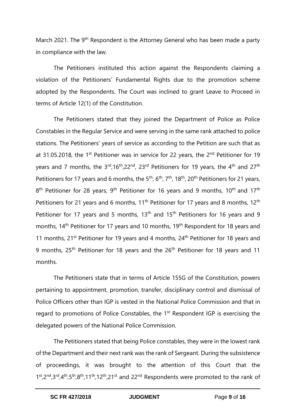March 2021. The 9<sup>th</sup> Respondent is the Attorney General who has been made a party in compliance with the law.

The Petitioners instituted this action against the Respondents claiming a violation of the Petitioners' Fundamental Rights due to the promotion scheme adopted by the Respondents. The Court was inclined to grant Leave to Proceed in terms of Article 12(1) of the Constitution.

The Petitioners stated that they joined the Department of Police as Police Constables in the Regular Service and were serving in the same rank attached to police stations. The Petitioners' years of service as according to the Petition are such that as at 31.05.2018, the 1<sup>st</sup> Petitioner was in service for 22 years, the 2<sup>nd</sup> Petitioner for 19 years and 7 months, the 3<sup>rd</sup>,16<sup>th</sup>,22<sup>nd</sup>, 23<sup>rd</sup> Petitioners for 19 years, the 4<sup>th</sup> and 27<sup>th</sup> Petitioners for 17 years and 6 months, the 5<sup>th</sup>, 6<sup>th</sup>, 7<sup>th</sup>, 18<sup>th</sup>, 20<sup>th</sup> Petitioners for 21 years, 8<sup>th</sup> Petitioner for 28 years, 9<sup>th</sup> Petitioner for 16 years and 9 months, 10<sup>th</sup> and 17<sup>th</sup> Petitioners for 21 years and 6 months, 11<sup>th</sup> Petitioner for 17 years and 8 months, 12<sup>th</sup> Petitioner for 17 years and 5 months, 13<sup>th</sup> and 15<sup>th</sup> Petitioners for 16 years and 9 months, 14<sup>th</sup> Petitioner for 17 years and 10 months, 19<sup>th</sup> Respondent for 18 years and 11 months,  $21^{st}$  Petitioner for 19 years and 4 months,  $24^{th}$  Petitioner for 18 years and 9 months, 25<sup>th</sup> Petitioner for 18 years and the 26<sup>th</sup> Petitioner for 18 years and 11 months.

The Petitioners state that in terms of Article 155G of the Constitution, powers pertaining to appointment, promotion, transfer, disciplinary control and dismissal of Police Officers other than IGP is vested in the National Police Commission and that in regard to promotions of Police Constables, the 1<sup>st</sup> Respondent IGP is exercising the delegated powers of the National Police Commission.

The Petitioners stated that being Police constables, they were in the lowest rank of the Department and their next rank was the rank of Sergeant. During the subsistence of proceedings, it was brought to the attention of this Court that the  $1<sup>st</sup>,2<sup>nd</sup>,3<sup>rd</sup>,4<sup>th</sup>,5<sup>th</sup>,8<sup>th</sup>,11<sup>th</sup>,12<sup>th</sup>,21<sup>st</sup>$  and 22<sup>nd</sup> Respondents were promoted to the rank of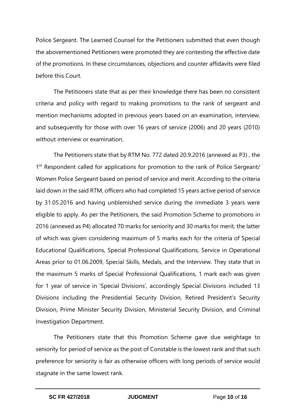Police Sergeant. The Learned Counsel for the Petitioners submitted that even though the abovementioned Petitioners were promoted they are contesting the effective date of the promotions. In these circumstances, objections and counter affidavits were filed before this Court.

The Petitioners state that as per their knowledge there has been no consistent criteria and policy with regard to making promotions to the rank of sergeant and mention mechanisms adopted in previous years based on an examination, interview, and subsequently for those with over 16 years of service (2006) and 20 years (2010) without interview or examination.

The Petitioners state that by RTM No. 772 dated 20.9.2016 (annexed as P3) , the 1<sup>st</sup> Respondent called for applications for promotion to the rank of Police Sergeant/ Women Police Sergeant based on period of service and merit. According to the criteria laid down in the said RTM, officers who had completed 15 years active period of service by 31.05.2016 and having unblemished service during the immediate 3 years were eligible to apply. As per the Petitioners, the said Promotion Scheme to promotions in 2016 (annexed as P4) allocated 70 marks for seniority and 30 marks for merit, the latter of which was given considering maximum of 5 marks each for the criteria of Special Educational Qualifications, Special Professional Qualifications, Service in Operational Areas prior to 01.06.2009, Special Skills, Medals, and the Interview. They state that in the maximum 5 marks of Special Professional Qualifications, 1 mark each was given for 1 year of service in 'Special Divisions', accordingly Special Divisions included 13 Divisions including the Presidential Security Division, Retired President's Security Division, Prime Minister Security Division, Ministerial Security Division, and Criminal Investigation Department.

The Petitioners state that this Promotion Scheme gave due weightage to seniority for period of service as the post of Constable is the lowest rank and that such preference for seniority is fair as otherwise officers with long periods of service would stagnate in the same lowest rank.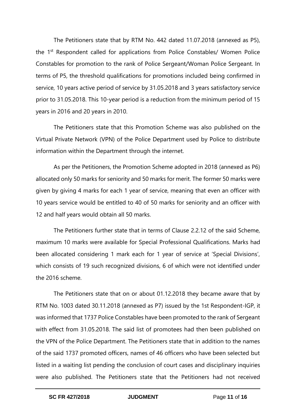The Petitioners state that by RTM No. 442 dated 11.07.2018 (annexed as P5), the 1<sup>st</sup> Respondent called for applications from Police Constables/ Women Police Constables for promotion to the rank of Police Sergeant/Woman Police Sergeant. In terms of P5, the threshold qualifications for promotions included being confirmed in service, 10 years active period of service by 31.05.2018 and 3 years satisfactory service prior to 31.05.2018. This 10-year period is a reduction from the minimum period of 15 years in 2016 and 20 years in 2010.

The Petitioners state that this Promotion Scheme was also published on the Virtual Private Network (VPN) of the Police Department used by Police to distribute information within the Department through the internet.

As per the Petitioners, the Promotion Scheme adopted in 2018 (annexed as P6) allocated only 50 marks for seniority and 50 marks for merit. The former 50 marks were given by giving 4 marks for each 1 year of service, meaning that even an officer with 10 years service would be entitled to 40 of 50 marks for seniority and an officer with 12 and half years would obtain all 50 marks.

The Petitioners further state that in terms of Clause 2.2.12 of the said Scheme, maximum 10 marks were available for Special Professional Qualifications. Marks had been allocated considering 1 mark each for 1 year of service at 'Special Divisions', which consists of 19 such recognized divisions, 6 of which were not identified under the 2016 scheme.

The Petitioners state that on or about 01.12.2018 they became aware that by RTM No. 1003 dated 30.11.2018 (annexed as P7) issued by the 1st Respondent-IGP, it was informed that 1737 Police Constables have been promoted to the rank of Sergeant with effect from 31.05.2018. The said list of promotees had then been published on the VPN of the Police Department. The Petitioners state that in addition to the names of the said 1737 promoted officers, names of 46 officers who have been selected but listed in a waiting list pending the conclusion of court cases and disciplinary inquiries were also published. The Petitioners state that the Petitioners had not received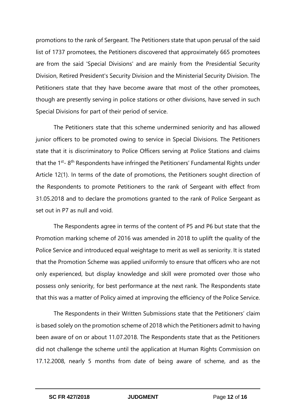promotions to the rank of Sergeant. The Petitioners state that upon perusal of the said list of 1737 promotees, the Petitioners discovered that approximately 665 promotees are from the said 'Special Divisions' and are mainly from the Presidential Security Division, Retired President's Security Division and the Ministerial Security Division. The Petitioners state that they have become aware that most of the other promotees, though are presently serving in police stations or other divisions, have served in such Special Divisions for part of their period of service.

The Petitioners state that this scheme undermined seniority and has allowed junior officers to be promoted owing to service in Special Divisions. The Petitioners state that it is discriminatory to Police Officers serving at Police Stations and claims that the 1<sup>st</sup>-8<sup>th</sup> Respondents have infringed the Petitioners' Fundamental Rights under Article 12(1). In terms of the date of promotions, the Petitioners sought direction of the Respondents to promote Petitioners to the rank of Sergeant with effect from 31.05.2018 and to declare the promotions granted to the rank of Police Sergeant as set out in P7 as null and void.

The Respondents agree in terms of the content of P5 and P6 but state that the Promotion marking scheme of 2016 was amended in 2018 to uplift the quality of the Police Service and introduced equal weightage to merit as well as seniority. It is stated that the Promotion Scheme was applied uniformly to ensure that officers who are not only experienced, but display knowledge and skill were promoted over those who possess only seniority, for best performance at the next rank. The Respondents state that this was a matter of Policy aimed at improving the efficiency of the Police Service.

The Respondents in their Written Submissions state that the Petitioners' claim is based solely on the promotion scheme of 2018 which the Petitioners admit to having been aware of on or about 11.07.2018. The Respondents state that as the Petitioners did not challenge the scheme until the application at Human Rights Commission on 17.12.2008, nearly 5 months from date of being aware of scheme, and as the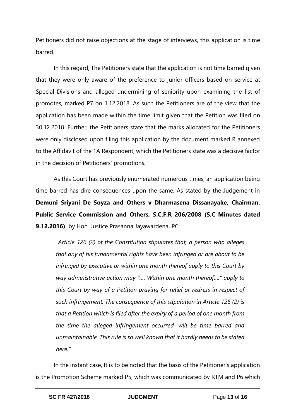Petitioners did not raise objections at the stage of interviews, this application is time barred.

In this regard, The Petitioners state that the application is not time barred given that they were only aware of the preference to junior officers based on service at Special Divisions and alleged undermining of seniority upon examining the list of promotes, marked P7 on 1.12.2018. As such the Petitioners are of the view that the application has been made within the time limit given that the Petition was filed on 30.12.2018. Further, the Petitioners state that the marks allocated for the Petitioners were only disclosed upon filing this application by the document marked R annexed to the Affidavit of the 1A Respondent, which the Petitioners state was a decisive factor in the decision of Petitioners' promotions.

As this Court has previously enumerated numerous times, an application being time barred has dire consequences upon the same. As stated by the Judgement in **Demuni Sriyani De Soyza and Others v Dharmasena Dissanayake, Chairman, Public Service Commission and Others, S.C.F.R 206/2008 (S.C Minutes dated 9.12.2016)** by Hon. Justice Prasanna Jayawardena, PC:

*"Article 126 (2) of the Constitution stipulates that, a person who alleges that any of his fundamental rights have been infringed or are about to be infringed by executive or within one month thereof apply to this Court by way administrative action may "…. Within one month thereof…." apply to this Court by way of a Petition praying for relief or redress in respect of such infringement. The consequence of this stipulation in Article 126 (2) is that a Petition which is filed after the expiry of a period of one month from the time the alleged infringement occurred, will be time barred and unmaintainable. This rule is so well known that it hardly needs to be stated here."*

In the instant case, It is to be noted that the basis of the Petitioner's application is the Promotion Scheme marked P5, which was communicated by RTM and P6 which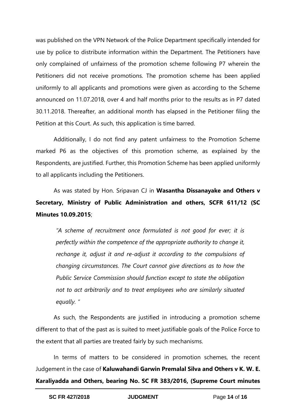was published on the VPN Network of the Police Department specifically intended for use by police to distribute information within the Department. The Petitioners have only complained of unfairness of the promotion scheme following P7 wherein the Petitioners did not receive promotions. The promotion scheme has been applied uniformly to all applicants and promotions were given as according to the Scheme announced on 11.07.2018, over 4 and half months prior to the results as in P7 dated 30.11.2018. Thereafter, an additional month has elapsed in the Petitioner filing the Petition at this Court. As such, this application is time barred.

Additionally, I do not find any patent unfairness to the Promotion Scheme marked P6 as the objectives of this promotion scheme, as explained by the Respondents, are justified. Further, this Promotion Scheme has been applied uniformly to all applicants including the Petitioners.

As was stated by Hon. Sripavan CJ in **Wasantha Dissanayake and Others v Secretary, Ministry of Public Administration and others, SCFR 611/12 (SC Minutes 10.09.2015**;

*"A scheme of recruitment once formulated is not good for ever; it is perfectly within the competence of the appropriate authority to change it, rechange it, adjust it and re-adjust it according to the compulsions of changing circumstances. The Court cannot give directions as to how the Public Service Commission should function except to state the obligation not to act arbitrarily and to treat employees who are similarly situated equally. "*

As such, the Respondents are justified in introducing a promotion scheme different to that of the past as is suited to meet justifiable goals of the Police Force to the extent that all parties are treated fairly by such mechanisms.

In terms of matters to be considered in promotion schemes, the recent Judgement in the case of **Kaluwahandi Garwin Premalal Silva and Others v K. W. E. Karaliyadda and Others, bearing No. SC FR 383/2016, (Supreme Court minutes**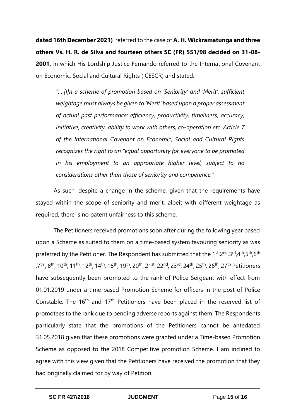**dated 16th December 2021)** referred to the case of **A. H. Wickramatunga and three others Vs. H. R. de Silva and fourteen others SC (FR) 551/98 decided on 31-08- 2001,** in which His Lordship Justice Fernando referred to the International Covenant on Economic, Social and Cultural Rights (ICESCR) and stated:

"....[I]n a scheme of promotion based on 'Seniority' and 'Merit', sufficient *weightage must always be given to 'Merit' based upon a proper assessment of actual past performance: efficiency, productivity, timeliness, accuracy, initiative, creativity, ability to work with others, co-operation etc. Article 7 of the International Covenant on Economic, Social and Cultural Rights recognizes the right to an "equal opportunity for everyone to be promoted in his employment to an appropriate higher level, subject to no considerations other than those of seniority and competence."* 

As such, despite a change in the scheme, given that the requirements have stayed within the scope of seniority and merit, albeit with different weightage as required, there is no patent unfairness to this scheme.

The Petitioners received promotions soon after during the following year based upon a Scheme as suited to them on a time-based system favouring seniority as was preferred by the Petitioner. The Respondent has submitted that the 1<sup>st</sup>,2<sup>nd</sup>,3<sup>rd</sup>,4<sup>th</sup>,5<sup>th</sup>,6<sup>th</sup> ,7th , 8th , 10th, 11th, 12th, 14th, 18th, 19th, 20th, 21st, 22nd, 23rd, 24th, 25th, 26th, 27th Petitioners have subsequently been promoted to the rank of Police Sergeant with effect from 01.01.2019 under a time-based Promotion Scheme for officers in the post of Police Constable. The  $16<sup>th</sup>$  and  $17<sup>th</sup>$  Petitioners have been placed in the reserved list of promotees to the rank due to pending adverse reports against them. The Respondents particularly state that the promotions of the Petitioners cannot be antedated 31.05.2018 given that these promotions were granted under a Time-based Promotion Scheme as opposed to the 2018 Competitive promotion Scheme. I am inclined to agree with this view given that the Petitioners have received the promotion that they had originally claimed for by way of Petition.